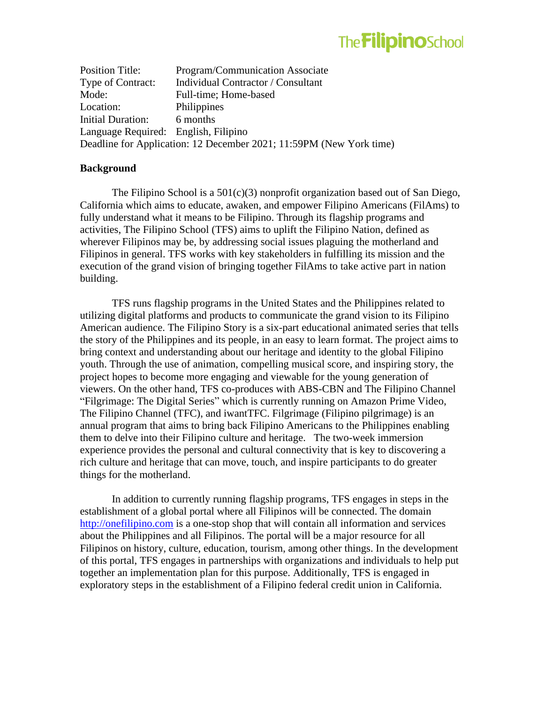# **The FilipinoSchool**

Position Title: Program/Communication Associate Type of Contract: Individual Contractor / Consultant Mode: Full-time; Home-based Location: Philippines Initial Duration: 6 months Language Required: English, Filipino Deadline for Application: 12 December 2021; 11:59PM (New York time)

#### **Background**

The Filipino School is a  $501(c)(3)$  nonprofit organization based out of San Diego, California which aims to educate, awaken, and empower Filipino Americans (FilAms) to fully understand what it means to be Filipino. Through its flagship programs and activities, The Filipino School (TFS) aims to uplift the Filipino Nation, defined as wherever Filipinos may be, by addressing social issues plaguing the motherland and Filipinos in general. TFS works with key stakeholders in fulfilling its mission and the execution of the grand vision of bringing together FilAms to take active part in nation building.

TFS runs flagship programs in the United States and the Philippines related to utilizing digital platforms and products to communicate the grand vision to its Filipino American audience. The Filipino Story is a six-part educational animated series that tells the story of the Philippines and its people, in an easy to learn format. The project aims to bring context and understanding about our heritage and identity to the global Filipino youth. Through the use of animation, compelling musical score, and inspiring story, the project hopes to become more engaging and viewable for the young generation of viewers. On the other hand, TFS co-produces with ABS-CBN and The Filipino Channel "Filgrimage: The Digital Series" which is currently running on Amazon Prime Video, The Filipino Channel (TFC), and iwantTFC. Filgrimage (Filipino pilgrimage) is an annual program that aims to bring back Filipino Americans to the Philippines enabling them to delve into their Filipino culture and heritage. The two-week immersion experience provides the personal and cultural connectivity that is key to discovering a rich culture and heritage that can move, touch, and inspire participants to do greater things for the motherland.

In addition to currently running flagship programs, TFS engages in steps in the establishment of a global portal where all Filipinos will be connected. The domain [http://onefilipino.com](http://onefilipino.com/) is a one-stop shop that will contain all information and services about the Philippines and all Filipinos. The portal will be a major resource for all Filipinos on history, culture, education, tourism, among other things. In the development of this portal, TFS engages in partnerships with organizations and individuals to help put together an implementation plan for this purpose. Additionally, TFS is engaged in exploratory steps in the establishment of a Filipino federal credit union in California.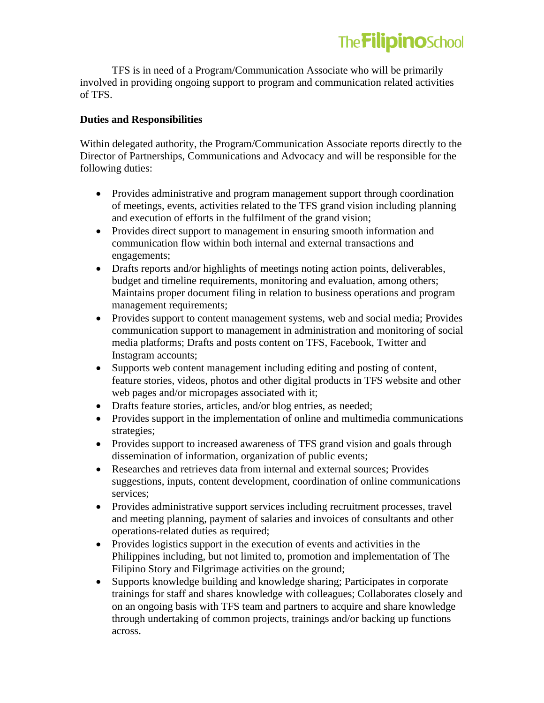TFS is in need of a Program/Communication Associate who will be primarily involved in providing ongoing support to program and communication related activities of TFS.

## **Duties and Responsibilities**

Within delegated authority, the Program/Communication Associate reports directly to the Director of Partnerships, Communications and Advocacy and will be responsible for the following duties:

- Provides administrative and program management support through coordination of meetings, events, activities related to the TFS grand vision including planning and execution of efforts in the fulfilment of the grand vision;
- Provides direct support to management in ensuring smooth information and communication flow within both internal and external transactions and engagements;
- Drafts reports and/or highlights of meetings noting action points, deliverables, budget and timeline requirements, monitoring and evaluation, among others; Maintains proper document filing in relation to business operations and program management requirements;
- Provides support to content management systems, web and social media; Provides communication support to management in administration and monitoring of social media platforms; Drafts and posts content on TFS, Facebook, Twitter and Instagram accounts;
- Supports web content management including editing and posting of content, feature stories, videos, photos and other digital products in TFS website and other web pages and/or micropages associated with it;
- Drafts feature stories, articles, and/or blog entries, as needed;
- Provides support in the implementation of online and multimedia communications strategies;
- Provides support to increased awareness of TFS grand vision and goals through dissemination of information, organization of public events;
- Researches and retrieves data from internal and external sources; Provides suggestions, inputs, content development, coordination of online communications services;
- Provides administrative support services including recruitment processes, travel and meeting planning, payment of salaries and invoices of consultants and other operations-related duties as required;
- Provides logistics support in the execution of events and activities in the Philippines including, but not limited to, promotion and implementation of The Filipino Story and Filgrimage activities on the ground;
- Supports knowledge building and knowledge sharing; Participates in corporate trainings for staff and shares knowledge with colleagues; Collaborates closely and on an ongoing basis with TFS team and partners to acquire and share knowledge through undertaking of common projects, trainings and/or backing up functions across.